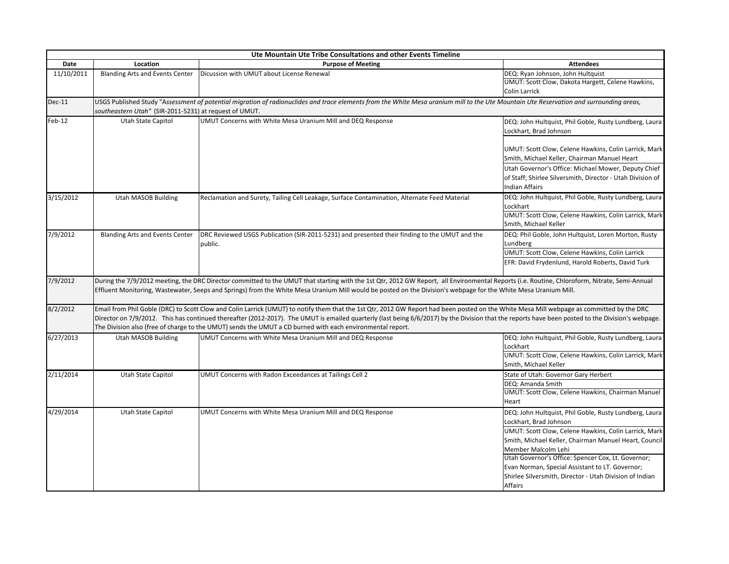| Ute Mountain Ute Tribe Consultations and other Events Timeline |                                                                                                                                                                                                                                                                                                                                                                                                                                                                                                             |                                                                                                          |                                                                                                                                                                                                                                                                                                                                                                                                          |  |
|----------------------------------------------------------------|-------------------------------------------------------------------------------------------------------------------------------------------------------------------------------------------------------------------------------------------------------------------------------------------------------------------------------------------------------------------------------------------------------------------------------------------------------------------------------------------------------------|----------------------------------------------------------------------------------------------------------|----------------------------------------------------------------------------------------------------------------------------------------------------------------------------------------------------------------------------------------------------------------------------------------------------------------------------------------------------------------------------------------------------------|--|
| Date                                                           | Location                                                                                                                                                                                                                                                                                                                                                                                                                                                                                                    | <b>Purpose of Meeting</b>                                                                                | <b>Attendees</b>                                                                                                                                                                                                                                                                                                                                                                                         |  |
| 11/10/2011                                                     | <b>Blanding Arts and Events Center</b>                                                                                                                                                                                                                                                                                                                                                                                                                                                                      | Dicussion with UMUT about License Renewal                                                                | DEQ: Ryan Johnson, John Hultquist<br>UMUT: Scott Clow, Dakota Hargett, Celene Hawkins,<br>Colin Larrick                                                                                                                                                                                                                                                                                                  |  |
| $Dec-11$                                                       | USGS Published Study "Assessment of potential migration of radionuclides and trace elements from the White Mesa uranium mill to the Ute Mountain Ute Reservation and surrounding areas,<br>southeastern Utah" (SIR-2011-5231) at request of UMUT.                                                                                                                                                                                                                                                           |                                                                                                          |                                                                                                                                                                                                                                                                                                                                                                                                          |  |
| $Feb-12$                                                       | Utah State Capitol                                                                                                                                                                                                                                                                                                                                                                                                                                                                                          | UMUT Concerns with White Mesa Uranium Mill and DEQ Response                                              | DEQ: John Hultquist, Phil Goble, Rusty Lundberg, Laura<br>Lockhart, Brad Johnson                                                                                                                                                                                                                                                                                                                         |  |
|                                                                |                                                                                                                                                                                                                                                                                                                                                                                                                                                                                                             |                                                                                                          | UMUT: Scott Clow, Celene Hawkins, Colin Larrick, Mark<br>Smith, Michael Keller, Chairman Manuel Heart<br>Utah Governor's Office: Michael Mower, Deputy Chief<br>of Staff; Shirlee Silversmith, Director - Utah Division of<br>Indian Affairs                                                                                                                                                             |  |
| 3/15/2012                                                      | Utah MASOB Building                                                                                                                                                                                                                                                                                                                                                                                                                                                                                         | Reclamation and Surety, Tailing Cell Leakage, Surface Contamination, Alternate Feed Material             | DEQ: John Hultquist, Phil Goble, Rusty Lundberg, Laura<br>Lockhart<br>UMUT: Scott Clow, Celene Hawkins, Colin Larrick, Mark                                                                                                                                                                                                                                                                              |  |
| 7/9/2012                                                       | <b>Blanding Arts and Events Center</b>                                                                                                                                                                                                                                                                                                                                                                                                                                                                      | DRC Reviewed USGS Publication (SIR-2011-5231) and presented their finding to the UMUT and the<br>public. | Smith, Michael Keller<br>DEQ: Phil Goble, John Hultquist, Loren Morton, Rusty<br>Lundberg                                                                                                                                                                                                                                                                                                                |  |
|                                                                |                                                                                                                                                                                                                                                                                                                                                                                                                                                                                                             |                                                                                                          | UMUT: Scott Clow, Celene Hawkins, Colin Larrick<br>EFR: David Frydenlund, Harold Roberts, David Turk                                                                                                                                                                                                                                                                                                     |  |
| 7/9/2012                                                       | During the 7/9/2012 meeting, the DRC Director committed to the UMUT that starting with the 1st Qtr, 2012 GW Report, all Environmental Reports (i.e. Routine, Chloroform, Nitrate, Semi-Annual<br>Effluent Monitoring, Wastewater, Seeps and Springs) from the White Mesa Uranium Mill would be posted on the Division's webpage for the White Mesa Uranium Mill.                                                                                                                                            |                                                                                                          |                                                                                                                                                                                                                                                                                                                                                                                                          |  |
| 8/2/2012                                                       | Email from Phil Goble (DRC) to Scott Clow and Colin Larrick (UMUT) to notify them that the 1st Qtr, 2012 GW Report had been posted on the White Mesa Mill webpage as committed by the DRC<br>Director on 7/9/2012. This has continued thereafter (2012-2017). The UMUT is emailed quarterly (last being 6/6/2017) by the Division that the reports have been posted to the Division's webpage.<br>The Division also (free of charge to the UMUT) sends the UMUT a CD burned with each environmental report. |                                                                                                          |                                                                                                                                                                                                                                                                                                                                                                                                          |  |
| 6/27/2013                                                      | Utah MASOB Building                                                                                                                                                                                                                                                                                                                                                                                                                                                                                         | UMUT Concerns with White Mesa Uranium Mill and DEQ Response                                              | DEQ: John Hultquist, Phil Goble, Rusty Lundberg, Laura<br>Lockhart<br>UMUT: Scott Clow, Celene Hawkins, Colin Larrick, Mark<br>Smith, Michael Keller                                                                                                                                                                                                                                                     |  |
| 2/11/2014                                                      | Utah State Capitol                                                                                                                                                                                                                                                                                                                                                                                                                                                                                          | UMUT Concerns with Radon Exceedances at Tailings Cell 2                                                  | State of Utah: Governor Gary Herbert<br>DEQ: Amanda Smith<br>UMUT: Scott Clow, Celene Hawkins, Chairman Manuel<br>Heart                                                                                                                                                                                                                                                                                  |  |
| 4/29/2014                                                      | Utah State Capitol                                                                                                                                                                                                                                                                                                                                                                                                                                                                                          | UMUT Concerns with White Mesa Uranium Mill and DEQ Response                                              | DEQ: John Hultquist, Phil Goble, Rusty Lundberg, Laura<br>Lockhart, Brad Johnson<br>UMUT: Scott Clow, Celene Hawkins, Colin Larrick, Mark<br>Smith, Michael Keller, Chairman Manuel Heart, Council<br>Member Malcolm Lehi<br>Utah Governor's Office: Spencer Cox, Lt. Governor;<br>Evan Norman, Special Assistant to LT. Governor;<br>Shirlee Silversmith, Director - Utah Division of Indian<br>Affairs |  |